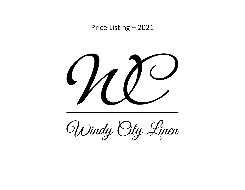Price Listing – 2021



Windy City Linen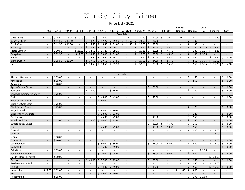# Windy City Linen

### Price List - 2021

|                                 |                          |                          |                          |                          |                          |                          |                          |            |                                    |         |                          |               |                          |             |                          | Cocktail                 |              |                          | Chair                    |              |                          |                       |                          |
|---------------------------------|--------------------------|--------------------------|--------------------------|--------------------------|--------------------------|--------------------------|--------------------------|------------|------------------------------------|---------|--------------------------|---------------|--------------------------|-------------|--------------------------|--------------------------|--------------|--------------------------|--------------------------|--------------|--------------------------|-----------------------|--------------------------|
|                                 | 54" Sa                   | 90" Sq                   | 90" Rd                   | 96" Rd                   | 108" Rd                  |                          |                          |            | 120" Rd      132" Rd      72"x120" |         | 90"x132"                 |               | 90"x156"                 |             | 108"x156"                | <b>Napkins</b>           |              | <b>Napkins</b>           | Ties                     |              | <b>Runners</b>           |                       | Cuffs                    |
|                                 |                          |                          |                          |                          |                          |                          |                          | Essentials |                                    |         |                          |               |                          |             |                          |                          |              |                          |                          |              |                          |                       |                          |
| Classic Solid                   | \$5.00                   | \$8.65                   | Ŝ.<br>8.65               | $$10.50$ \$              | 11.05                    | $\frac{1}{2}$ 13.40      | \$17.35                  |            | 8.65                               | Ŝ.      | 20.20                    | Ŝ.            | 22.30                    |             | 30.45                    | 0.55<br>Ŝ.               | Ś.           | 0.65                     | \$2.15                   | Ś.           | 6.30                     |                       |                          |
| <b>Imperial Stripe</b>          | $\overline{\phantom{a}}$ | \$11.50                  | \$11.50                  | $\sim$                   | Ś.<br>14.25              | 17.25<br>$\ddot{\phi}$   | Ś.                       | 19.50      | Ŝ.<br>11.50                        | Ś.      | 24.50                    | Ŝ.            | 26.50                    |             | $\overline{\phantom{a}}$ | $\sim$                   | Ś            | 1.05                     |                          |              |                          |                       |                          |
| Picnic Check                    | $\sim$                   | \$11.50                  | \$11.50                  | $\sim$                   | Ś.<br>15.50              | 18.50<br>Ŝ.              | Ŝ.                       | 21.00      | Ś.<br>11.50                        |         | 22.50                    | Ŝ             | 27.50                    |             | $\blacksquare$           | $\sim$                   | Ś            | 1.35                     | $\sim$                   |              | $\overline{a}$           |                       | $\blacksquare$           |
| Shantung                        | $\overline{\phantom{a}}$ |                          |                          | \$20.50                  | 20.50<br>Ŝ.              | 22.50<br>Ŝ.              | S.                       | 26.50      |                                    |         | 22.50                    | Ŝ.            | 26.50                    | $\varsigma$ | 38.50                    | $\sim$                   | $\mathbf{A}$ | 1.60                     | \$2.25                   | Ś.           | 8.25                     |                       |                          |
| Matte Lamour                    | $\overline{\phantom{a}}$ | \$20.50                  | $\overline{\phantom{a}}$ | \$22.50                  | 22.50<br>Ś               | 25.25<br>S               |                          | 29.25      | $\overline{\phantom{a}}$           |         | 25.25                    | Ŝ             | 29.25                    | Ś           | 45.50                    | $\sim$                   | Ś            | 1.85                     | \$2.25                   | \$           | 8.25                     |                       | $\overline{\phantom{a}}$ |
| <b>Bengaline</b>                | $\overline{a}$           | \$22.50                  | $\overline{\phantom{a}}$ | \$24.50                  | 24.50<br>Ŝ.              | 29.00<br>Ŝ.              | Ś.                       | 31.00      | $\overline{\phantom{a}}$           |         | 28.50                    | Ŝ.            | 30.50                    | Ŝ.          | 48.50                    | $\sim$                   | Ś            | 1.85                     | \$3.75                   |              |                          |                       | $\overline{\phantom{a}}$ |
| Soiree                          | $\overline{a}$           |                          |                          |                          | 25.50                    | 29.50<br>Ŝ.              | Ŝ.                       | 34.50      | $\sim$                             |         | 29.50                    | Ŝ.            | 34.50                    |             | 48.50                    | $\sim$                   | Ś            | 2.60                     |                          | \$           | 15.25                    | Ŝ.                    | 4.10                     |
| Bichon/Crush                    | $\blacksquare$           | \$25.50                  | \$25.50                  | $\blacksquare$           | \$<br>29.50              | 29.50<br>Ŝ.              | Ś.                       | 34.50      | $\blacksquare$                     | $\zeta$ | 29.50                    | Ŝ.            | 34.50                    | Ŝ.          | 55.50                    | $\overline{\phantom{a}}$ | $\zeta$      | 2.60                     | \$3.75                   | Ś.           | 10.50                    |                       |                          |
| Jute                            | $\overline{\phantom{a}}$ |                          | $\overline{\phantom{a}}$ | $\sim$                   | Ś.<br>29.50              | 30.50<br>Ś.              | Ŝ.                       | 35.50      | $\overline{\phantom{a}}$           |         | 32.50                    | Ŝ.            | 38.50                    | Ś           | 55.50                    | $\sim$                   | Ś            | 2.60                     | \$3.75                   | Ś.           | 15.25                    | Ŝ                     | 4.10                     |
|                                 |                          |                          |                          |                          |                          |                          |                          |            |                                    |         |                          |               |                          |             |                          |                          |              |                          |                          |              |                          |                       |                          |
|                                 |                          |                          |                          |                          |                          |                          |                          | Specialty  |                                    |         |                          |               |                          |             |                          |                          |              |                          |                          |              |                          |                       |                          |
| Abstract Geometric              | $\overline{\phantom{0}}$ | \$25.00                  | $\overline{\phantom{a}}$ | $\overline{\phantom{a}}$ |                          |                          |                          |            |                                    |         | $\overline{\phantom{a}}$ |               | $\blacksquare$           |             |                          | $\sim$                   | Ś            | 1.50                     | $\overline{a}$           |              |                          | Ŝ                     | 6.00                     |
| Americana                       | $\overline{\phantom{a}}$ | \$25.00                  | $\overline{\phantom{a}}$ | $\overline{\phantom{a}}$ |                          |                          |                          |            |                                    |         | $\overline{a}$           |               |                          |             |                          | $\overline{\phantom{a}}$ | ς            | 2.50                     |                          |              |                          | $\zeta$               | 6.00                     |
| Amondine                        | $\sim$                   | \$28.00                  | $\overline{\phantom{a}}$ | $\overline{\phantom{a}}$ |                          |                          |                          |            | $\overline{\phantom{a}}$           |         | $\blacksquare$           |               |                          |             |                          | $\overline{a}$           |              |                          | $\overline{a}$           |              |                          |                       |                          |
| Apple Cabana Stripe             | $\overline{\phantom{a}}$ |                          |                          |                          |                          |                          |                          |            |                                    |         |                          | Ś             | 56.00                    |             |                          |                          |              |                          |                          |              |                          |                       | 6.00                     |
| Bandana                         | $\sim$                   | $\overline{\phantom{a}}$ | $\overline{\phantom{a}}$ | $\sim$                   | Ś.<br>35.00              | $\overline{\phantom{a}}$ | Ś.                       | 46.00      | $\overline{\phantom{a}}$           |         | $\overline{\phantom{a}}$ |               | $\blacksquare$           |             | $\overline{\phantom{a}}$ | $\overline{\phantom{a}}$ | Ś.           | 1.50                     |                          |              | $\blacksquare$           | Ŝ.                    | 6.00                     |
| <b>Banded Embroidered Sheer</b> | $\overline{\phantom{a}}$ | \$25.00                  | $\sim$                   | $\sim$                   |                          |                          |                          |            |                                    |         | $\overline{a}$           |               |                          |             |                          |                          |              |                          |                          |              |                          |                       |                          |
| Bark                            | $\overline{\phantom{a}}$ |                          |                          | $\overline{\phantom{a}}$ |                          | 45.00<br>Ś.              | Š.                       | 49.00      |                                    |         | $\overline{\phantom{a}}$ | Ŝ.            | 49.00                    |             |                          |                          |              |                          |                          |              |                          | Ś,                    | 6.00                     |
| Black Circle Taffeta            | $\overline{\phantom{a}}$ | $\sim$                   | $\overline{\phantom{a}}$ | $\overline{\phantom{a}}$ | $\sim$                   | Ś.<br>40.00              | $\overline{\phantom{a}}$ |            | $\overline{\phantom{a}}$           |         | $\overline{\phantom{a}}$ |               | $\overline{\phantom{a}}$ |             |                          | $\overline{\phantom{a}}$ |              | $\overline{\phantom{a}}$ |                          |              |                          |                       | $\overline{\phantom{a}}$ |
| <b>Black Net Gold Stars</b>     | $\sim$                   | \$25.00                  |                          | $\overline{\phantom{a}}$ |                          |                          |                          |            |                                    |         | $\overline{\phantom{a}}$ |               | $\overline{a}$           |             |                          | $\sim$                   |              | $\sim$                   |                          |              |                          |                       |                          |
| <b>Black Racing Check</b>       | $\sim$                   | \$25.00                  | $\sim$                   | $\sim$                   |                          |                          |                          |            | $\sim$                             |         | $\overline{\phantom{a}}$ |               | $\overline{\phantom{a}}$ |             |                          | $\sim$                   | Ś            | 1.25                     | $\sim$                   |              |                          | $\zeta$               | 6.00                     |
| Beige Sanibel                   | $\sim$                   |                          | $\overline{\phantom{a}}$ | $\overline{\phantom{a}}$ | $\overline{\phantom{a}}$ | \$<br>44.00              |                          | 49.00      | $\overline{\phantom{a}}$           |         | $\blacksquare$           |               | $\overline{\phantom{a}}$ |             |                          | $\overline{\phantom{a}}$ |              |                          |                          |              |                          |                       |                          |
| <b>Black with White Dots</b>    | $\overline{\phantom{a}}$ | $\overline{\phantom{a}}$ |                          |                          |                          | Ŝ.<br>28.00              | Ŝ.                       | 33.00      |                                    |         | $\overline{\phantom{a}}$ |               |                          |             |                          | $\sim$                   |              | 1.25                     |                          |              |                          | Ŝ                     | 6.00                     |
| <b>Brushstrokes</b>             | $\sim$                   |                          | $\overline{a}$           | $\overline{a}$           | $\sim$                   | Ś.<br>45.00              | Ś.                       | 49.00      | $\sim$                             |         | $\overline{\phantom{a}}$ | Ś.            | 49.00                    |             | $\sim$                   | $\sim$                   | \$           | 2.50                     | $\sim$                   |              | $\overline{a}$           | Ŝ.                    | 6.00                     |
| <b>Buffalo Red Check</b>        | $\blacksquare$           | \$25.00                  | $\overline{\phantom{a}}$ | $\overline{\phantom{a}}$ | 28.00<br>\$              | \$<br>30.00              | Ś.                       | 33.00      | $\overline{\phantom{a}}$           |         | $\overline{\phantom{a}}$ |               |                          |             |                          | $\sim$                   | ¢            | 1.50                     | $\sim$                   |              |                          | $\breve{\phantom{a}}$ | 6.00                     |
| <b>Buffalo Taupe Check</b>      | $\overline{\phantom{a}}$ |                          |                          |                          |                          |                          |                          |            |                                    |         |                          | S             | 33.00                    | \$          | 45.00                    | $\sim$                   | S            | 1.50                     |                          |              |                          | \$.                   | 6.00                     |
| Cairns                          | $\overline{\phantom{a}}$ | $\overline{\phantom{a}}$ | $\overline{\phantom{a}}$ | $\overline{\phantom{a}}$ | $\overline{\phantom{a}}$ | Ś.<br>45.00              | Ś.                       | 49.00      | $\sim$                             |         | $\overline{\phantom{a}}$ | Ś.            | 49.00                    | Ś.          | 59.00                    | $\sim$                   |              | 2.50                     | $\sim$                   |              | $\overline{\phantom{a}}$ | $\zeta$               | 6.00                     |
| Cheetah                         | $\overline{a}$           | $\overline{a}$           | $\overline{\phantom{a}}$ | $\overline{\phantom{a}}$ |                          |                          |                          |            |                                    |         | $\overline{\phantom{a}}$ |               |                          |             |                          | $\sim$                   | Ś.           | 2.00                     | $\sim$                   | Ś.           | 15.00                    |                       | $\sim$                   |
| Chevron                         | $\blacksquare$           |                          |                          |                          |                          |                          |                          |            |                                    |         |                          |               |                          |             |                          |                          |              |                          |                          | $\mathsf{S}$ | 8.00                     |                       |                          |
| Cirque                          | $\sim$                   | \$30.00                  | $\overline{\phantom{a}}$ | $\sim$                   | $\overline{\phantom{a}}$ | $\overline{\phantom{a}}$ | $\overline{\phantom{a}}$ |            | $\overline{\phantom{a}}$           |         | $\overline{\phantom{a}}$ |               | $\overline{\phantom{a}}$ |             | $\overline{\phantom{a}}$ | $\sim$                   |              | $\overline{\phantom{a}}$ | $\sim$                   |              |                          |                       | $\overline{\phantom{a}}$ |
| Concentric                      | $\overline{\phantom{a}}$ | \$30.00                  |                          |                          |                          |                          |                          |            |                                    |         |                          |               |                          |             |                          |                          |              |                          |                          | Ś.           | 15.00                    | Ŝ.                    | 6.00                     |
| Cosmopolitan                    | $\blacksquare$           |                          | $\overline{\phantom{a}}$ | $\overline{\phantom{a}}$ |                          | Ŝ.<br>50.00              | Ś.                       | 56.00      | $\overline{\phantom{a}}$           |         | $\blacksquare$           | Ś.            | 56.00                    | Ŝ.          | 65.00                    | $\sim$                   | Ś.           | 2.50                     | $\sim$                   | Ś.           | 15.00                    | Ŝ.                    | 6.00                     |
| Dogwood                         |                          |                          |                          |                          |                          | \$<br>45.00              | Ś                        | 49.00      |                                    |         |                          |               |                          |             |                          |                          |              |                          |                          |              |                          | Ś.                    | 6.00                     |
| <b>Fairy Dust</b>               | $\overline{\phantom{a}}$ | \$25.00                  | $\overline{\phantom{a}}$ | $\overline{\phantom{a}}$ |                          |                          |                          |            |                                    |         | $\overline{\phantom{a}}$ |               |                          |             |                          | $\overline{\phantom{0}}$ |              |                          | \$2.95                   |              |                          |                       |                          |
| <b>Federal Blue Granite</b>     | $\sim$                   |                          | $\sim$                   | $\overline{a}$           | $\sim$                   | Ś.<br>70.00              | Ś.                       | 75.00      | $\sim$                             |         | $\blacksquare$           | Ś.            | 75.00                    | Ŝ.          | 90.00                    |                          | ς            | 2.50                     |                          |              |                          | Ŝ.                    | 6.00                     |
| Garden Floral (Limited)         | $\overline{\phantom{a}}$ | \$30.00                  | $\sim$                   | $\overline{\phantom{a}}$ |                          |                          |                          |            | $\overline{\phantom{a}}$           |         | $\overline{\phantom{a}}$ |               |                          |             |                          |                          |              |                          | $\overline{\phantom{a}}$ | Ś.           | 23.00                    |                       |                          |
| Gatsby                          | $\overline{\phantom{a}}$ |                          |                          |                          | 69.00<br>Ś.              | Ś.<br>77.00              | Ś                        | 85.00      | $\overline{\phantom{a}}$           |         | $\overline{\phantom{a}}$ | Ś             | 85.00                    |             |                          |                          |              | 2.50                     |                          |              |                          | $\zeta$               | 6.00                     |
| Gold Geometric Foil             | $\sim$                   | $\sim$                   | $\overline{\phantom{a}}$ | $\sim$                   | $\sim$                   |                          |                          |            | $\overline{\phantom{a}}$           |         | $\overline{\phantom{a}}$ |               | $\overline{a}$           |             | $\overline{\phantom{a}}$ | $\blacksquare$           | Ś.           | 2.50                     | $\sim$                   | Ś.           | 15.00                    |                       | $\overline{\phantom{a}}$ |
| Helena                          |                          |                          | $\sim$                   | $\sim$                   | $\sim$                   | Ś.<br>44.00              | $\mathsf{S}$             | 49.00      | $\sim$                             |         | $\overline{\phantom{a}}$ | <sup>\$</sup> | 49.00                    |             |                          |                          | Ś            | 2.50                     | $\sim$                   | Ś.           | 15.00                    | Ŝ.                    | 6.00                     |
| Hemstiched                      | \$22.00                  | \$32.00                  | $\overline{\phantom{a}}$ |                          |                          |                          |                          |            |                                    |         |                          |               |                          |             |                          | 1.65<br>Ś                | Ś            | 3.00                     |                          |              |                          |                       |                          |
|                                 |                          |                          |                          | $\sim$                   |                          |                          |                          |            |                                    |         |                          |               | $\overline{a}$           |             |                          |                          |              | $\overline{a}$           |                          |              |                          |                       |                          |
| Hex                             | $\overline{\phantom{a}}$ |                          | $\overline{\phantom{a}}$ |                          | $\overline{\phantom{a}}$ | \$35.00                  | Ś.                       | 40.00      | $\overline{\phantom{a}}$           |         | $\overline{\phantom{a}}$ |               |                          |             | $\overline{\phantom{a}}$ | $\sim$                   | Ś.           |                          |                          |              |                          |                       | $\sim$                   |
| Holiday Plaid                   | $\blacksquare$           | \$25.00                  |                          |                          |                          |                          |                          |            |                                    |         |                          |               |                          |             |                          |                          |              | 1.75                     | \$2.00                   |              |                          |                       |                          |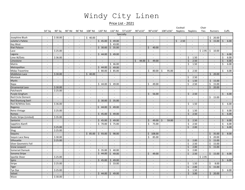## Windy City Linen

#### Price List - 2021

54" Sq 90" Sq 90" Rd 96" Rd 108" Rd 120" Rd 132" Rd 72"x120" 90"x132" 90"x156" 108"x156" Napkins Napkins Ties Runners Cuffs

Cocktail Chair

|                           |                          |                          |                          |                          |                          |                          |                             | Specialty                |                          |                          |                          |                          |                          |                          |    |                          |         |                          |
|---------------------------|--------------------------|--------------------------|--------------------------|--------------------------|--------------------------|--------------------------|-----------------------------|--------------------------|--------------------------|--------------------------|--------------------------|--------------------------|--------------------------|--------------------------|----|--------------------------|---------|--------------------------|
| Josephine Blush           | $\overline{\phantom{a}}$ | \$30.00                  | $\sim$                   | $\sim$                   | \$<br>40.00              |                          |                             | $\overline{a}$           | $\overline{a}$           | $\overline{\phantom{a}}$ | $\overline{a}$           | $\overline{a}$           | $\overline{a}$           | $\sim$                   | \$ | 20.00                    |         |                          |
| Juliette's Pallete        | $\overline{a}$           |                          |                          | $\overline{a}$           |                          | \$<br>45.00              | Ś<br>49.00                  | $\overline{\phantom{a}}$ |                          |                          | $\overline{\phantom{a}}$ | Ś<br>2.50                | $\overline{\phantom{a}}$ |                          | \$ | 15.00                    | Ś       | 6.00                     |
| Key West                  | $\blacksquare$           | $\overline{\phantom{a}}$ | $\sim$                   | $\sim$                   | $\sim$                   | $\overline{a}$           | 43.00<br>Ś.                 | $\sim$                   | $\overline{\phantom{a}}$ | $\overline{\phantom{a}}$ | $\blacksquare$           | $\sim$                   | $\overline{\phantom{a}}$ | $\sim$                   |    | $\overline{\phantom{a}}$ |         | $\overline{\phantom{a}}$ |
| Kiwi Palazzo              | $\overline{\phantom{a}}$ | $\overline{\phantom{a}}$ | $\overline{\phantom{a}}$ | $\overline{\phantom{a}}$ | $\overline{\phantom{a}}$ | Ŝ.<br>30.00              | Ś.<br>35.00                 | $\overline{\phantom{a}}$ | $\overline{\phantom{a}}$ | Ŝ.<br>40.00              | $\overline{\phantom{a}}$ | $\overline{\phantom{a}}$ | $\overline{\phantom{a}}$ | $\sim$                   |    |                          |         | $\overline{\phantom{a}}$ |
| Lace                      | $\overline{\phantom{a}}$ | \$25.00                  | $\overline{\phantom{a}}$ | $\overline{\phantom{a}}$ | $\overline{\phantom{a}}$ |                          |                             | $\blacksquare$           | $\overline{\phantom{a}}$ | $\overline{\phantom{a}}$ | $\overline{\phantom{a}}$ | $\overline{\phantom{a}}$ | $\blacksquare$           | \$2.95                   | Ś  | 10.00                    |         |                          |
| Laguna                    | $\overline{\phantom{a}}$ |                          | $\overline{\phantom{a}}$ | $\overline{\phantom{a}}$ | $\overline{\phantom{a}}$ | Ś.<br>44.00              | 49.00<br>Ś                  | $\overline{a}$           | $\overline{\phantom{a}}$ | $\overline{\phantom{a}}$ | $\overline{\phantom{a}}$ | $\overline{\phantom{a}}$ | $\overline{a}$           |                          |    |                          | $\zeta$ | 6.00                     |
| Lime W/Dots               | $\overline{\phantom{a}}$ | \$36.00                  | $\overline{\phantom{a}}$ | $\blacksquare$           | $\overline{\phantom{a}}$ |                          | $\overline{a}$              | $\blacksquare$           |                          |                          | $\overline{\phantom{a}}$ | $\blacksquare$           | 1.50<br>Ś                |                          |    |                          | Ś       | 6.00                     |
| Limestone                 | $\overline{a}$           |                          |                          | $\overline{a}$           |                          | $\overline{a}$           |                             | $\overline{a}$           | 44.00<br>\$              | 49.00<br>Ŝ.              | $\overline{\phantom{a}}$ | $\sim$                   | 2.50<br>Ś                |                          |    |                          | Ś       | 6.00                     |
| Matrix                    | $\overline{\phantom{a}}$ |                          |                          | $\overline{\phantom{a}}$ | $\overline{\phantom{a}}$ | $\overline{\phantom{0}}$ | 46.00<br>Ś.                 | $\blacksquare$           |                          |                          | $\overline{\phantom{a}}$ | $\blacksquare$           | 1.50<br>Š.               | $\sim$                   |    |                          | Ś       | 6.00                     |
| Metropolitan              | $\overline{\phantom{a}}$ | $\overline{\phantom{a}}$ | $\overline{\phantom{a}}$ | $\overline{\phantom{a}}$ | $\overline{\phantom{a}}$ | Ś<br>44.00               | 49.00<br>ς                  | $\overline{\phantom{a}}$ | $\overline{\phantom{a}}$ |                          |                          | $\overline{\phantom{a}}$ |                          | $\sim$                   |    | $\overline{\phantom{a}}$ |         |                          |
| <b>Midas Travertine</b>   | $\overline{\phantom{a}}$ | $\overline{\phantom{a}}$ | $\overline{\phantom{a}}$ | $\overline{\phantom{a}}$ | $\overline{a}$           | \$<br>80.00              | 85.00<br>\$                 | $\blacksquare$           | $\overline{\phantom{a}}$ | \$<br>80.00              | 95.00<br>Ŝ.              | $\sim$                   | 2.50<br>\$               | $\sim$                   |    |                          | \$      | 6.00                     |
| Middleton Lace            | $\overline{\phantom{a}}$ | \$30.00                  | $\overline{\phantom{a}}$ | $\overline{\phantom{a}}$ | Ś<br>40.00               |                          |                             |                          | $\overline{\phantom{a}}$ |                          |                          | $\overline{\phantom{a}}$ |                          |                          | Ś. | 20.00                    |         |                          |
| Montauk                   | $\blacksquare$           | $\mathbb{L}$             | $\sim$                   | $\sim$                   | $\mathcal{L}$            | $\blacksquare$           | $\blacksquare$              | $\overline{\phantom{a}}$ | $\overline{\phantom{a}}$ | $\blacksquare$           | $\blacksquare$           | $\blacksquare$           | 2.50<br>Ś                | $\mathcal{L}$            |    | $\overline{a}$           |         | $\overline{\phantom{a}}$ |
| Mystic                    | $\overline{\phantom{a}}$ | $\overline{\phantom{a}}$ | $\sim$                   | $\overline{\phantom{a}}$ | $\overline{\phantom{a}}$ | $\overline{a}$           | $\overline{\phantom{a}}$    | $\overline{\phantom{a}}$ | $\overline{\phantom{a}}$ |                          | $\overline{\phantom{a}}$ | $\overline{\phantom{a}}$ | $\zeta$<br>1.50          | $\sim$                   | Ŝ. | 15.00                    |         | $\overline{\phantom{a}}$ |
| Napa                      | $\overline{\phantom{a}}$ | $\sim$                   | $\overline{a}$           | $\overline{\phantom{a}}$ | $\overline{\phantom{a}}$ | \$<br>44.00              | 49.00<br>Š.                 | $\overline{\phantom{a}}$ | $\overline{\phantom{a}}$ | Ś<br>49.00               | $\overline{\phantom{a}}$ | $\overline{\phantom{a}}$ | 2.50<br>Ś                | $\overline{a}$           | Ś  | 15.00                    |         | $\overline{\phantom{a}}$ |
| Ornamental Lace           | $\overline{a}$           | \$30.00                  | $\overline{a}$           | $\overline{a}$           | $\overline{a}$           |                          | $\overline{a}$              | $\overline{a}$           | $\overline{\phantom{a}}$ |                          | $\overline{\phantom{a}}$ | $\overline{\phantom{a}}$ | $\overline{a}$           | $\overline{\phantom{a}}$ | \$ | 20.00                    |         | $\overline{\phantom{a}}$ |
| Patchwork                 | $\overline{\phantom{a}}$ | \$25.00                  | $\overline{\phantom{a}}$ | $\overline{\phantom{a}}$ | $\overline{\phantom{a}}$ | $\overline{\phantom{a}}$ | $\blacksquare$              | $\overline{a}$           |                          |                          | $\overline{\phantom{a}}$ | $\overline{\phantom{a}}$ |                          |                          |    |                          |         |                          |
| Purple Gingham            | $\overline{\phantom{a}}$ |                          |                          | $\overline{a}$           |                          | $\overline{a}$           |                             | $\overline{a}$           |                          | 56.00<br>Ś.              | $\overline{a}$           | $\overline{\phantom{a}}$ | 2.50<br>$\zeta$          |                          |    |                          | Ś.      | 6.00                     |
| <b>Red Circle Element</b> | $\overline{\phantom{a}}$ | $\overline{\phantom{a}}$ | $\overline{\phantom{a}}$ | $\overline{\phantom{a}}$ | $\overline{\phantom{a}}$ | $\overline{a}$           | $\overline{a}$              | $\overline{\phantom{a}}$ |                          |                          | $\overline{\phantom{a}}$ | $\overline{\phantom{a}}$ | $\overline{a}$           | $\overline{\phantom{a}}$ | Ś. | 15.00                    |         |                          |
| <b>Red Shantung Swirl</b> | $\overline{\phantom{a}}$ | $\overline{\phantom{a}}$ | $\overline{\phantom{a}}$ | $\overline{\phantom{a}}$ | $\overline{\phantom{a}}$ | Ś.<br>30.00              | 35.00<br>Ś                  | $\overline{\phantom{a}}$ | $\overline{\phantom{a}}$ | $\overline{\phantom{a}}$ | $\overline{\phantom{a}}$ | $\overline{\phantom{a}}$ | $\overline{\phantom{0}}$ | $\overline{\phantom{a}}$ |    |                          |         |                          |
| Red W/White Dots          | $\overline{\phantom{a}}$ | \$36.00                  | $\overline{\phantom{a}}$ | $\overline{\phantom{a}}$ | $\overline{\phantom{a}}$ |                          |                             | $\sim$                   | $\overline{\phantom{a}}$ | $\overline{\phantom{a}}$ | $\overline{a}$           | $\overline{a}$           | Ś.<br>1.50               | $\sim$                   |    |                          | Ś.      | 6.00                     |
| Regency                   | $\overline{a}$           |                          |                          | $\overline{\phantom{a}}$ |                          | Ś.<br>44.00              | Ś<br>49.00                  | $\overline{a}$           |                          |                          | $\overline{\phantom{a}}$ | $\overline{\phantom{a}}$ |                          |                          |    |                          |         |                          |
| <b>Retro Vintage</b>      | $\overline{\phantom{a}}$ | \$25.00                  | $\overline{\phantom{a}}$ | $\overline{\phantom{a}}$ | $\sim$                   | $\overline{a}$           | $\mathcal{L}^{\mathcal{A}}$ | $\overline{\phantom{a}}$ | $\sim$                   | $\blacksquare$           | $\overline{\phantom{a}}$ | $\sim$                   | 1.50<br>Š.               | $\sim$                   |    | $\sim$                   | Ś       | 6.00                     |
| Romeo                     | $\overline{\phantom{a}}$ |                          | $\overline{\phantom{a}}$ | $\overline{\phantom{a}}$ | $\sim$                   | Ŝ.<br>45.00              | Ś.<br>49.00                 | $\overline{\phantom{a}}$ | $\overline{\phantom{a}}$ | $\overline{\phantom{a}}$ | $\overline{\phantom{a}}$ | $\overline{\phantom{a}}$ | $\zeta$<br>2.50          | $\sim$                   |    |                          | Ś.      | 6.00                     |
| Rustic Stripe (Limited)   | $\overline{\phantom{a}}$ | \$35.00                  | $\overline{\phantom{a}}$ | $\overline{\phantom{a}}$ | $\overline{\phantom{a}}$ |                          |                             | $\overline{\phantom{a}}$ | $\overline{\phantom{a}}$ |                          |                          | $\overline{\phantom{a}}$ | $\overline{a}$           | $\overline{\phantom{a}}$ |    | $\overline{\phantom{0}}$ |         | $\overline{\phantom{a}}$ |
| Santorini                 | $\overline{\phantom{a}}$ | $\overline{a}$           | $\sim$                   | $\overline{\phantom{a}}$ | $\overline{\phantom{a}}$ | 45.00<br>Ś.              | 49.00<br>Ś                  | $\blacksquare$           | $\overline{\phantom{a}}$ | Ś.<br>49.00              | Ś.<br>59.00              | $\overline{\phantom{a}}$ | 2.50<br>$\zeta$          | $\overline{\phantom{a}}$ |    | $\overline{\phantom{a}}$ | $\zeta$ | 6.00                     |
| Sapphire Alamfi           | $\overline{a}$           |                          |                          | $\overline{\phantom{a}}$ | $\overline{\phantom{a}}$ | \$<br>70.00              | Ś.<br>75.00                 | $\overline{\phantom{a}}$ | $\overline{\phantom{a}}$ | Ś.<br>75.00              | $\overline{a}$           |                          | 2.50<br>Ś                | $\sim$                   |    |                          | Ś       | 6.00                     |
| Savannah                  | $\overline{\phantom{a}}$ | \$25.00                  | $\overline{\phantom{a}}$ | $\overline{\phantom{a}}$ | $\overline{\phantom{a}}$ | $\overline{\phantom{a}}$ | $\overline{\phantom{a}}$    | $\overline{\phantom{a}}$ | $\overline{\phantom{a}}$ |                          | $\overline{\phantom{a}}$ | $\overline{\phantom{a}}$ | 2.00<br>$\zeta$          | $\overline{a}$           |    |                          | Ś.      | 6.00                     |
| Shag                      | $\overline{\phantom{a}}$ | \$25.00                  | $\overline{\phantom{a}}$ | $\overline{\phantom{a}}$ |                          |                          |                             | $\overline{\phantom{a}}$ |                          |                          | $\overline{\phantom{a}}$ | $\overline{\phantom{a}}$ | $\overline{\phantom{0}}$ | $\overline{\phantom{a}}$ |    |                          |         |                          |
| Sequins                   | $\overline{\phantom{a}}$ | $\overline{\phantom{a}}$ | $\sim$                   | $\overline{\phantom{a}}$ | Ś.<br>85.00              | Ś.<br>93.00              | 98.00<br>Ś                  | $\sim$                   | $\overline{\phantom{a}}$ | 108.00<br>Ś.             | $\overline{\phantom{a}}$ | $\sim$                   | $\overline{\phantom{a}}$ | $\sim$                   | Ś. | 35.00                    | Ś       | 8.00                     |
| Sequin Lace Navy          | $\overline{\phantom{a}}$ | \$30.00                  | $\sim$                   | $\overline{a}$           |                          | $\overline{a}$           | $\overline{a}$              | $\overline{a}$           | $\overline{a}$           | Ś.<br>85.00              | $\overline{a}$           | $\overline{a}$           | $\overline{a}$           | $\sim$                   | \$ | 20.00                    |         | $\sim$                   |
| Silhouette                | $\overline{a}$           | \$25.00                  | $\overline{a}$           | $\overline{\phantom{a}}$ |                          |                          |                             | $\overline{a}$           | $\overline{\phantom{a}}$ |                          | $\overline{\phantom{a}}$ | $\overline{a}$           | 2.00<br>Ś                |                          | Ś  | 15.00                    |         |                          |
| Silver Geometric Foil     | $\blacksquare$           | $\overline{\phantom{a}}$ | $\overline{\phantom{a}}$ | $\overline{\phantom{a}}$ | $\sim$                   | $\blacksquare$           | $\overline{\phantom{a}}$    | $\overline{\phantom{a}}$ | $\sim$                   | $\blacksquare$           | $\overline{a}$           | $\sim$                   | 2.50<br>Ś                | $\blacksquare$           | \$ | 15.00                    |         | $\blacksquare$           |
| Snow Leopard              | $\overline{\phantom{a}}$ | $\overline{\phantom{a}}$ |                          | $\overline{\phantom{a}}$ | $\overline{\phantom{a}}$ |                          | $\overline{a}$              | $\overline{\phantom{a}}$ |                          | $\overline{\phantom{a}}$ | $\overline{\phantom{a}}$ | $\overline{\phantom{a}}$ | $\zeta$<br>2.00          | $\sim$                   | Ś. | 15.00                    |         | $\overline{a}$           |
| Somerset Damask           | $\overline{\phantom{a}}$ | $\overline{\phantom{a}}$ |                          | $\overline{\phantom{a}}$ | $\overline{\phantom{a}}$ | \$<br>35.00              | 40.00<br>Ś                  | $\overline{\phantom{a}}$ |                          |                          | $\overline{\phantom{a}}$ | $\overline{\phantom{a}}$ | Ś<br>2.00                |                          |    |                          |         |                          |
| Sonoma Stripe             | $\overline{\phantom{a}}$ |                          | $\sim$                   | $\overline{\phantom{a}}$ | $\sim$                   | $\zeta$<br>44.00         | \$<br>49.00                 | $\overline{\phantom{a}}$ | $\overline{\phantom{a}}$ | 49.00<br>Ś.              | $\overline{\phantom{a}}$ | $\blacksquare$           | 2.50<br>$\zeta$          | $\sim$                   | \$ | 15.00                    | Ś.      | 6.00                     |
| <b>Sparkle Sheer</b>      | $\overline{\phantom{a}}$ | \$25.00                  | $\overline{\phantom{a}}$ | $\overline{\phantom{a}}$ | $\overline{\phantom{a}}$ |                          |                             | $\blacksquare$           | $\overline{\phantom{a}}$ |                          | $\overline{\phantom{a}}$ | $\overline{\phantom{a}}$ | $\overline{\phantom{a}}$ | \$2.95                   |    |                          |         |                          |
| Spiro                     | $\overline{a}$           |                          | $\overline{a}$           | $\overline{a}$           | $\overline{a}$           | 45.00<br>Ś.              | 49.00<br>Ś.                 | $\overline{\phantom{a}}$ |                          |                          | $\overline{a}$           | $\overline{a}$           | $\overline{a}$           | $\sim$                   |    |                          | Ś.      | 6.00                     |
| Stripe                    | $\overline{\phantom{a}}$ | \$25.00                  | $\overline{\phantom{a}}$ | $\overline{\phantom{a}}$ | $\overline{\phantom{a}}$ | $\overline{\phantom{a}}$ | \$<br>33.00                 | $\overline{\phantom{a}}$ | $\overline{\phantom{a}}$ | $\overline{\phantom{a}}$ | $\overline{\phantom{a}}$ | $\blacksquare$           | Ś<br>1.50                | $\overline{\phantom{a}}$ | \$ | 8.00                     |         |                          |
| <b>Tiger</b>              | $\overline{\phantom{a}}$ | $\overline{\phantom{a}}$ | $\sim$                   | $\overline{\phantom{a}}$ | $\overline{\phantom{a}}$ | $\overline{\phantom{a}}$ | $\overline{a}$              | $\overline{\phantom{a}}$ | $\overline{\phantom{a}}$ | $\overline{\phantom{a}}$ | $\overline{\phantom{a}}$ | $\overline{\phantom{a}}$ | $\zeta$<br>2.00          | $\sim$                   | Ś. | 15.00                    |         |                          |
| Tye Dye                   | $\overline{\phantom{a}}$ | \$25.00                  | $\sim$                   | $\overline{\phantom{a}}$ | $\overline{\phantom{a}}$ | $\overline{a}$           | $\overline{\phantom{a}}$    | $\overline{a}$           | $\overline{\phantom{a}}$ | $\overline{\phantom{a}}$ | $\overline{a}$           |                          | 1.50<br>Ś                | $\sim$                   |    |                          | \$      | 6.00                     |
| Velvet                    | $\overline{a}$           |                          |                          | $\overline{\phantom{a}}$ |                          | Ś<br>44.00               | 49.00<br>Ś                  | $\overline{a}$           |                          |                          | $\overline{\phantom{a}}$ | $\overline{\phantom{a}}$ | 3.00                     |                          | Ś. | 20.00                    |         |                          |
| Wave                      | $\overline{\phantom{a}}$ | \$30.00                  | $\overline{\phantom{a}}$ | $\overline{\phantom{a}}$ | $\overline{\phantom{a}}$ | $\overline{a}$           | $\overline{a}$              | $\frac{1}{2}$            | $\overline{\phantom{a}}$ | $\blacksquare$           | $\overline{\phantom{a}}$ | $\overline{\phantom{a}}$ | $\overline{\phantom{a}}$ | $\overline{\phantom{a}}$ |    |                          |         | $\blacksquare$           |
|                           |                          |                          |                          |                          |                          |                          |                             |                          |                          |                          |                          |                          |                          |                          |    |                          |         |                          |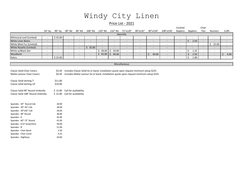## Windy City Linen

#### Price List - 2021

|                                                                                                                                        |                          |                          |                          |                          |                          |                          |                          |                                                                                        |                              |                          |                          | Cocktail                 |                          | Chair                    |                          |                          |
|----------------------------------------------------------------------------------------------------------------------------------------|--------------------------|--------------------------|--------------------------|--------------------------|--------------------------|--------------------------|--------------------------|----------------------------------------------------------------------------------------|------------------------------|--------------------------|--------------------------|--------------------------|--------------------------|--------------------------|--------------------------|--------------------------|
|                                                                                                                                        | 54" Sq                   | 90" Sq                   | 90" Rd                   | 96" Rd                   | 108" Rd                  | 120" Rd                  | 132" Rd                  | 72"x120"                                                                               | 90"x132"                     | 90"x156"                 | 108"x156"                | Napkins                  | <b>Napkins</b>           | Ties                     | Runners                  | Cuffs                    |
|                                                                                                                                        |                          |                          |                          |                          |                          |                          |                          | Specialty                                                                              |                              |                          |                          |                          |                          |                          |                          |                          |
| Whimsical Leaf (Limited)                                                                                                               | $\overline{\phantom{a}}$ | \$35.00                  | $\overline{\phantom{a}}$ | $\overline{\phantom{a}}$ | $\overline{\phantom{a}}$ | $\overline{\phantom{a}}$ | $\overline{\phantom{a}}$ | $\overline{\phantom{a}}$                                                               | $\overline{\phantom{a}}$     | $\overline{\phantom{a}}$ | $\sim$                   | $\overline{\phantom{a}}$ | $\overline{\phantom{a}}$ | $\overline{\phantom{a}}$ | $\overline{\phantom{a}}$ | $\overline{\phantom{a}}$ |
| White Linen Bistro                                                                                                                     | $\overline{\phantom{a}}$ |                          |                          | $\overline{\phantom{a}}$ | $\overline{\phantom{a}}$ |                          |                          | $\overline{\phantom{a}}$                                                               | $\qquad \qquad \blacksquare$ |                          | $\overline{\phantom{a}}$ | $\overline{\phantom{a}}$ | $\mathsf{S}$<br>2.50     | $\overline{\phantom{a}}$ |                          | $\overline{\phantom{a}}$ |
| White Mink Fur (Limited)                                                                                                               | $\overline{\phantom{a}}$ |                          |                          | $\overline{\phantom{a}}$ | $\overline{\phantom{a}}$ | $\overline{\phantom{a}}$ | $\overline{\phantom{a}}$ | $\overline{\phantom{a}}$                                                               | $\overline{\phantom{a}}$     | $\overline{\phantom{a}}$ | $\overline{\phantom{a}}$ | $\overline{\phantom{a}}$ |                          | $\overline{\phantom{a}}$ | 25.00<br>\$              | $\overline{\phantom{a}}$ |
| White Rosette (Limited)                                                                                                                | $\overline{\phantom{a}}$ |                          |                          | $\overline{\phantom{a}}$ | 35.00<br>\$              |                          |                          |                                                                                        |                              |                          | $\overline{\phantom{0}}$ |                          |                          | $\overline{\phantom{a}}$ |                          |                          |
| White w/Black Dot                                                                                                                      | $\overline{\phantom{a}}$ | $\overline{\phantom{a}}$ |                          | $\overline{\phantom{a}}$ | $\overline{\phantom{a}}$ | Ś.<br>28.00              | 33.00<br>Ś.              | $\blacksquare$                                                                         | $\overline{\phantom{a}}$     | $\overline{\phantom{a}}$ | $\overline{\phantom{a}}$ | $\overline{\phantom{a}}$ | Ŝ.<br>1.25               | $\overline{\phantom{a}}$ | $\overline{\phantom{a}}$ | $\overline{\phantom{a}}$ |
| Woodland                                                                                                                               | $\overline{\phantom{a}}$ |                          |                          | $\overline{\phantom{a}}$ | $\overline{\phantom{a}}$ | Ś.<br>45.00              | 49.00<br>S.              | $\overline{\phantom{a}}$                                                               | $\overline{\phantom{a}}$     | \$<br>49.00              | $\overline{\phantom{a}}$ | $\overline{\phantom{a}}$ | 2.50<br>$\zeta$          | $\overline{\phantom{a}}$ | $\overline{\phantom{a}}$ | Ś<br>6.00                |
| Zebra                                                                                                                                  | $\blacksquare$           | \$25.00                  |                          | $\overline{\phantom{a}}$ | $\overline{\phantom{a}}$ | $\overline{a}$           | $\overline{\phantom{a}}$ | $\overline{\phantom{a}}$                                                               | $\overline{a}$               | $\overline{\phantom{a}}$ | $\overline{\phantom{a}}$ | $\overline{\phantom{a}}$ | Ŝ.<br>1.00               | $\overline{\phantom{a}}$ | $\overline{\phantom{a}}$ | $\overline{\phantom{a}}$ |
|                                                                                                                                        |                          |                          |                          |                          |                          |                          |                          |                                                                                        |                              |                          |                          |                          |                          |                          |                          |                          |
|                                                                                                                                        |                          |                          |                          |                          |                          |                          |                          | Miscellaneous                                                                          |                              |                          |                          |                          |                          |                          |                          |                          |
|                                                                                                                                        |                          |                          |                          |                          |                          |                          |                          |                                                                                        |                              |                          |                          |                          |                          |                          |                          |                          |
| Includes Classic Solid tie or band, installation quote upon request minimum setup \$225<br><b>Classic Solid Chair Covers</b><br>\$3.50 |                          |                          |                          |                          |                          |                          |                          |                                                                                        |                              |                          |                          |                          |                          |                          |                          |                          |
| Matte Lamour Chair Covers                                                                                                              |                          | \$4.50                   |                          |                          |                          |                          |                          | Includes Matte Lamour tie or band, installation quote upon request minimum setup \$225 |                              |                          |                          |                          |                          |                          |                          |                          |
|                                                                                                                                        |                          |                          |                          |                          |                          |                          |                          |                                                                                        |                              |                          |                          |                          |                          |                          |                          |                          |
| Classic Solid skirting 7'                                                                                                              |                          | \$11.00                  |                          |                          |                          |                          |                          |                                                                                        |                              |                          |                          |                          |                          |                          |                          |                          |
| Classic Solid skirting 14'                                                                                                             |                          | \$19.00                  |                          |                          |                          |                          |                          |                                                                                        |                              |                          |                          |                          |                          |                          |                          |                          |
|                                                                                                                                        |                          |                          |                          |                          |                          |                          |                          |                                                                                        |                              |                          |                          |                          |                          |                          |                          |                          |
| Classic Solid 90" Round Umbrella                                                                                                       |                          | \$12.00                  |                          | Call for availability    |                          |                          |                          |                                                                                        |                              |                          |                          |                          |                          |                          |                          |                          |
| Classic Solid 108" Round Umbrella                                                                                                      |                          | \$15.00                  | Call for availability    |                          |                          |                          |                          |                                                                                        |                              |                          |                          |                          |                          |                          |                          |                          |
|                                                                                                                                        |                          |                          |                          |                          |                          |                          |                          |                                                                                        |                              |                          |                          |                          |                          |                          |                          |                          |
|                                                                                                                                        |                          |                          |                          |                          |                          |                          |                          |                                                                                        |                              |                          |                          |                          |                          |                          |                          |                          |
| Spandex - 30" Round Cab                                                                                                                |                          | 28.00                    |                          |                          |                          |                          |                          |                                                                                        |                              |                          |                          |                          |                          |                          |                          |                          |
| Spandex - 30"-36" Cab                                                                                                                  |                          | 28.00                    |                          |                          |                          |                          |                          |                                                                                        |                              |                          |                          |                          |                          |                          |                          |                          |
| Spandex - 30"x30" Cab                                                                                                                  |                          | 28.00                    |                          |                          |                          |                          |                          |                                                                                        |                              |                          |                          |                          |                          |                          |                          |                          |
| Spandex - 48" Round                                                                                                                    |                          | 38.00                    |                          |                          |                          |                          |                          |                                                                                        |                              |                          |                          |                          |                          |                          |                          |                          |
| Spandex - 6'                                                                                                                           |                          | 45.00                    |                          |                          |                          |                          |                          |                                                                                        |                              |                          |                          |                          |                          |                          |                          |                          |
| Spandex - 60"-72" Round                                                                                                                |                          | 41.00                    |                          |                          |                          |                          |                          |                                                                                        |                              |                          |                          |                          |                          |                          |                          |                          |
| Spandex - 6'x3' Serpentine                                                                                                             |                          | 58.00                    |                          |                          |                          |                          |                          |                                                                                        |                              |                          |                          |                          |                          |                          |                          |                          |
| Spandex - 8'                                                                                                                           |                          | 51.00                    |                          |                          |                          |                          |                          |                                                                                        |                              |                          |                          |                          |                          |                          |                          |                          |
| Spandex - Chair Band                                                                                                                   |                          | 2.50                     |                          |                          |                          |                          |                          |                                                                                        |                              |                          |                          |                          |                          |                          |                          |                          |
| Spandex - Chair Cover                                                                                                                  |                          | 6.25                     |                          |                          |                          |                          |                          |                                                                                        |                              |                          |                          |                          |                          |                          |                          |                          |

Spandex - Highboys 34.00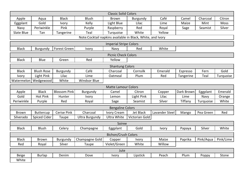|                            |                            |                     |                                                            | <b>Classic Solid Colors</b>   |                |                |            |           |           |  |  |  |  |  |
|----------------------------|----------------------------|---------------------|------------------------------------------------------------|-------------------------------|----------------|----------------|------------|-----------|-----------|--|--|--|--|--|
| Apple                      | Aqua                       | <b>Black</b>        | <b>Blush</b>                                               | <b>Brown</b>                  | Burgundy       | Café           | Camel      | Charcoal  | Citron    |  |  |  |  |  |
| Eggplant                   | Gold                       | <b>Ivory</b>        | Kelly                                                      | Light Blue                    | Lilac          | Lime           | Maize      | Mint      | Moss      |  |  |  |  |  |
| Navy                       | Periwinkle                 | Pink                | Purple                                                     | Raspberry                     | Red            | Royal          | Sage       | Seamist   | Silver    |  |  |  |  |  |
| Slate Blue                 | Tan                        | Tangerine           | Teal                                                       | Turquoise                     | White          | Yellow         |            |           |           |  |  |  |  |  |
|                            |                            |                     | Note:Cocktail napkins available in Black, White, and Ivory |                               |                |                |            |           |           |  |  |  |  |  |
|                            |                            |                     |                                                            | <b>Imperial Stripe Colors</b> |                |                |            |           |           |  |  |  |  |  |
| <b>Black</b>               | Burgundy                   | <b>Forest Green</b> | Ivory                                                      | Navy                          | Red            | White          |            |           |           |  |  |  |  |  |
|                            | <b>Picnic Check Colors</b> |                     |                                                            |                               |                |                |            |           |           |  |  |  |  |  |
| <b>Black</b>               | Blue                       | Green               | Red                                                        | Yellow                        |                |                |            |           |           |  |  |  |  |  |
| <b>Shantung Colors</b>     |                            |                     |                                                            |                               |                |                |            |           |           |  |  |  |  |  |
| <b>Black</b>               | <b>Blush Rose</b>          | Burgundy            | Café                                                       | Charcoal                      | Cornsilk       | Emerald        | Espresso   | Fern      | Gold      |  |  |  |  |  |
| Ivory                      | Light Pink                 | Lilac               | Lime                                                       | Oatmeal                       | Plum           | Red            | Tangerine  | Teal      | Turquoise |  |  |  |  |  |
| Watermelon                 | Wedgewood                  | White               | <b>Windsor Blue</b>                                        |                               |                |                |            |           |           |  |  |  |  |  |
| <b>Matte Lamour Colors</b> |                            |                     |                                                            |                               |                |                |            |           |           |  |  |  |  |  |
| Apple                      | <b>Black</b>               | <b>Blossom Pink</b> | Burgundy                                                   | Camel                         | Citron         | Copper         | Dark Brown | Eggplant  | Emerald   |  |  |  |  |  |
| Gold                       | <b>Hot Pink</b>            | Hunter              | Ivory                                                      | Lemon                         | Light Pink     | Lilac          | Lime       | Navy      | Orange    |  |  |  |  |  |
| Periwinkle                 | Purple                     | Red                 | Royal                                                      | Sage                          | Seamist        | Silver         | Tiffany    | Turquoise | White     |  |  |  |  |  |
|                            |                            |                     |                                                            | <b>Bengaline Colors</b>       |                |                |            |           |           |  |  |  |  |  |
| <b>Brown</b>               | <b>Buttercup</b>           | Cerise Pink         | Charcoal                                                   | Ivory Cream                   | Jet Black      | Lavander Steel | Mango      | Pea Green | Red       |  |  |  |  |  |
| Silverado                  | <b>Spiced Cider</b>        | Taupe               | <b>Ultra Burgundy</b>                                      | <b>Ultra White</b>            | Victorian Gold |                |            |           |           |  |  |  |  |  |
|                            |                            |                     |                                                            | Soiree                        |                |                |            |           |           |  |  |  |  |  |
| <b>Black</b>               | <b>Blush</b>               | Celery              | Champagne                                                  | Eggplant                      | Gold           | <b>Ivory</b>   | Papaya     | Silver    | White     |  |  |  |  |  |
|                            |                            |                     |                                                            | <b>Bichon/Crush Colors</b>    |                |                |            |           |           |  |  |  |  |  |
| <b>Black</b>               | <b>Brown</b>               | Burgundy            | Champagne Gold                                             | Copper                        | <b>Ivory</b>   | Maize          | Paprika    | Pink/Aqua | Pink/Lime |  |  |  |  |  |
| Red                        | Royal                      | Silver              | Taupe                                                      | Violet/Green                  | White          | Willow         |            |           |           |  |  |  |  |  |
|                            |                            |                     |                                                            | Jute                          |                |                |            |           |           |  |  |  |  |  |
| <b>Beige</b>               | <b>Burlap</b>              | Denim               | Dove                                                       | Ivory                         | Lipstick       | Peach          | Plum       | Poppy     | Stone     |  |  |  |  |  |
| White                      |                            |                     |                                                            |                               |                |                |            |           |           |  |  |  |  |  |